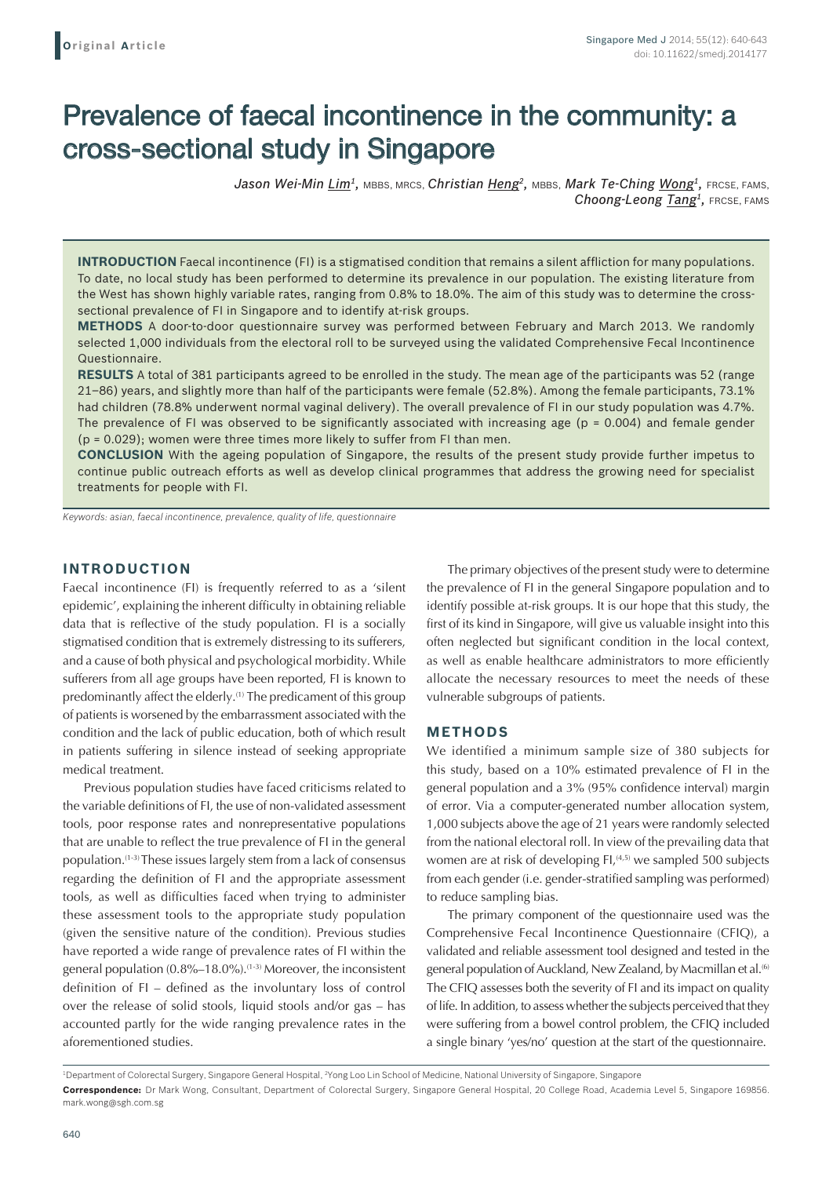# Prevalence of faecal incontinence in the community: a cross-sectional study in Singapore

Jason Wei-Min Lim<sup>1</sup>, MBBS, MRCS, *Christian Heng<sup>2</sup>*, MBBS, Mark Te-Ching Wong<sup>1</sup>, FRCSE, FAMS, *Choong-Leong Tang1,* FRCSE, FAMS

**INTRODUCTION** Faecal incontinence (FI) is a stigmatised condition that remains a silent affliction for many populations. To date, no local study has been performed to determine its prevalence in our population. The existing literature from the West has shown highly variable rates, ranging from 0.8% to 18.0%. The aim of this study was to determine the crosssectional prevalence of FI in Singapore and to identify at-risk groups.

**METHODS** A door-to-door questionnaire survey was performed between February and March 2013. We randomly selected 1,000 individuals from the electoral roll to be surveyed using the validated Comprehensive Fecal Incontinence Questionnaire.

**RESULTS** A total of 381 participants agreed to be enrolled in the study. The mean age of the participants was 52 (range 21–86) years, and slightly more than half of the participants were female (52.8%). Among the female participants, 73.1% had children (78.8% underwent normal vaginal delivery). The overall prevalence of FI in our study population was 4.7%. The prevalence of FI was observed to be significantly associated with increasing age ( $p = 0.004$ ) and female gender (p = 0.029); women were three times more likely to suffer from FI than men.

**CONCLUSION** With the ageing population of Singapore, the results of the present study provide further impetus to continue public outreach efforts as well as develop clinical programmes that address the growing need for specialist treatments for people with FI.

*Keywords: asian, faecal incontinence, prevalence, quality of life, questionnaire*

### **INTRODUCTION**

Faecal incontinence (FI) is frequently referred to as a 'silent epidemic', explaining the inherent difficulty in obtaining reliable data that is reflective of the study population. FI is a socially stigmatised condition that is extremely distressing to its sufferers, and a cause of both physical and psychological morbidity. While sufferers from all age groups have been reported, FI is known to predominantly affect the elderly.(1) The predicament of this group of patients is worsened by the embarrassment associated with the condition and the lack of public education, both of which result in patients suffering in silence instead of seeking appropriate medical treatment.

Previous population studies have faced criticisms related to the variable definitions of FI, the use of non-validated assessment tools, poor response rates and nonrepresentative populations that are unable to reflect the true prevalence of FI in the general population.<sup>(1-3)</sup> These issues largely stem from a lack of consensus regarding the definition of FI and the appropriate assessment tools, as well as difficulties faced when trying to administer these assessment tools to the appropriate study population (given the sensitive nature of the condition). Previous studies have reported a wide range of prevalence rates of FI within the general population (0.8%-18.0%).<sup>(1-3)</sup> Moreover, the inconsistent definition of FI – defined as the involuntary loss of control over the release of solid stools, liquid stools and/or gas – has accounted partly for the wide ranging prevalence rates in the aforementioned studies.

The primary objectives of the present study were to determine the prevalence of FI in the general Singapore population and to identify possible at-risk groups. It is our hope that this study, the first of its kind in Singapore, will give us valuable insight into this often neglected but significant condition in the local context, as well as enable healthcare administrators to more efficiently allocate the necessary resources to meet the needs of these vulnerable subgroups of patients.

#### **METHODS**

We identified a minimum sample size of 380 subjects for this study, based on a 10% estimated prevalence of FI in the general population and a 3% (95% confidence interval) margin of error. Via a computer-generated number allocation system, 1,000 subjects above the age of 21 years were randomly selected from the national electoral roll. In view of the prevailing data that women are at risk of developing FI,<sup>(4,5)</sup> we sampled 500 subjects from each gender (i.e. gender-stratified sampling was performed) to reduce sampling bias.

The primary component of the questionnaire used was the Comprehensive Fecal Incontinence Questionnaire (CFIQ), a validated and reliable assessment tool designed and tested in the general population of Auckland, New Zealand, by Macmillan et al.<sup>(6)</sup> The CFIQ assesses both the severity of FI and its impact on quality of life. In addition, to assess whether the subjects perceived that they were suffering from a bowel control problem, the CFIQ included a single binary 'yes/no' question at the start of the questionnaire.

<sup>&</sup>lt;sup>1</sup>Department of Colorectal Surgery, Singapore General Hospital, <sup>2</sup>Yong Loo Lin School of Medicine, National University of Singapore, Singapore **Correspondence:** Dr Mark Wong, Consultant, Department of Colorectal Surgery, Singapore General Hospital, 20 College Road, Academia Level 5, Singapore 169856. mark.wong@sgh.com.sg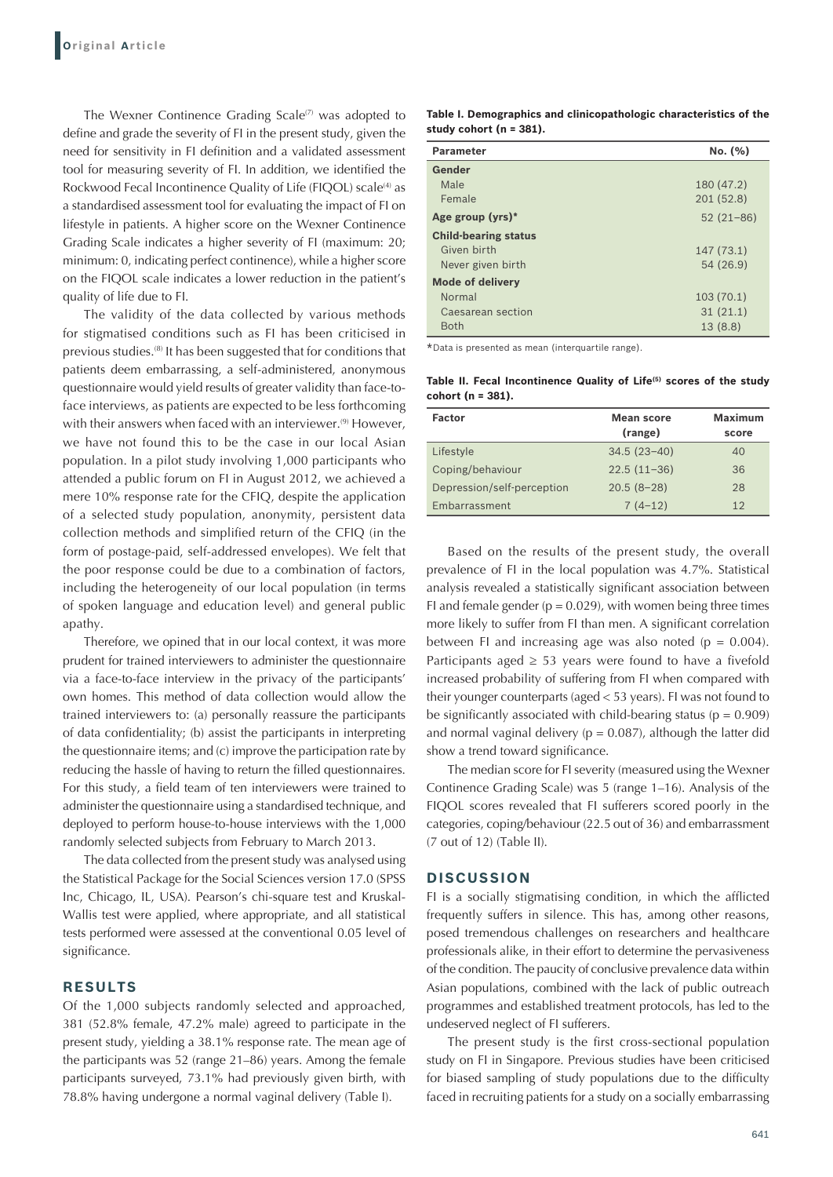The Wexner Continence Grading Scale $(7)$  was adopted to define and grade the severity of FI in the present study, given the need for sensitivity in FI definition and a validated assessment tool for measuring severity of FI. In addition, we identified the Rockwood Fecal Incontinence Quality of Life (FIQOL) scale<sup>(4)</sup> as a standardised assessment tool for evaluating the impact of FI on lifestyle in patients. A higher score on the Wexner Continence Grading Scale indicates a higher severity of FI (maximum: 20; minimum: 0, indicating perfect continence), while a higher score on the FIQOL scale indicates a lower reduction in the patient's quality of life due to FI.

The validity of the data collected by various methods for stigmatised conditions such as FI has been criticised in previous studies.<sup>(8)</sup> It has been suggested that for conditions that patients deem embarrassing, a self-administered, anonymous questionnaire would yield results of greater validity than face-toface interviews, as patients are expected to be less forthcoming with their answers when faced with an interviewer.<sup>(9)</sup> However, we have not found this to be the case in our local Asian population. In a pilot study involving 1,000 participants who attended a public forum on FI in August 2012, we achieved a mere 10% response rate for the CFIQ, despite the application of a selected study population, anonymity, persistent data collection methods and simplified return of the CFIQ (in the form of postage-paid, self-addressed envelopes). We felt that the poor response could be due to a combination of factors, including the heterogeneity of our local population (in terms of spoken language and education level) and general public apathy.

Therefore, we opined that in our local context, it was more prudent for trained interviewers to administer the questionnaire via a face-to-face interview in the privacy of the participants' own homes. This method of data collection would allow the trained interviewers to: (a) personally reassure the participants of data confidentiality; (b) assist the participants in interpreting the questionnaire items; and (c) improve the participation rate by reducing the hassle of having to return the filled questionnaires. For this study, a field team of ten interviewers were trained to administer the questionnaire using a standardised technique, and deployed to perform house-to-house interviews with the 1,000 randomly selected subjects from February to March 2013.

The data collected from the present study was analysed using the Statistical Package for the Social Sciences version 17.0 (SPSS Inc, Chicago, IL, USA). Pearson's chi-square test and Kruskal-Wallis test were applied, where appropriate, and all statistical tests performed were assessed at the conventional 0.05 level of significance.

# **RESULTS**

Of the 1,000 subjects randomly selected and approached, 381 (52.8% female, 47.2% male) agreed to participate in the present study, yielding a 38.1% response rate. The mean age of the participants was 52 (range 21–86) years. Among the female participants surveyed, 73.1% had previously given birth, with 78.8% having undergone a normal vaginal delivery (Table I).

**Table I. Demographics and clinicopathologic characteristics of the study cohort (n = 381).**

| <b>Parameter</b>            | No. (%)       |
|-----------------------------|---------------|
| Gender                      |               |
| Male                        | 180 (47.2)    |
| Female                      | 201 (52.8)    |
| Age group (yrs)*            | $52(21 - 86)$ |
| <b>Child-bearing status</b> |               |
| Given birth                 | 147(73.1)     |
| Never given birth           | 54 (26.9)     |
| <b>Mode of delivery</b>     |               |
| Normal                      | 103(70.1)     |
| Caesarean section           | 31(21.1)      |
| <b>Both</b>                 | 13(8.8)       |

\*Data is presented as mean (interquartile range).

**Table II. Fecal Incontinence Quality of Life(5) scores of the study cohort (n = 381).**

| <b>Factor</b>              | <b>Mean score</b><br>(range) | <b>Maximum</b><br>score |
|----------------------------|------------------------------|-------------------------|
| Lifestyle                  | $34.5(23-40)$                | 40                      |
| Coping/behaviour           | $22.5(11-36)$                | 36                      |
| Depression/self-perception | $20.5(8-28)$                 | 28                      |
| Embarrassment              | $7(4-12)$                    | 12                      |

Based on the results of the present study, the overall prevalence of FI in the local population was 4.7%. Statistical analysis revealed a statistically significant association between FI and female gender ( $p = 0.029$ ), with women being three times more likely to suffer from FI than men. A significant correlation between FI and increasing age was also noted ( $p = 0.004$ ). Participants aged  $\geq$  53 years were found to have a fivefold increased probability of suffering from FI when compared with their younger counterparts (aged < 53 years). FI was not found to be significantly associated with child-bearing status ( $p = 0.909$ ) and normal vaginal delivery ( $p = 0.087$ ), although the latter did show a trend toward significance.

The median score for FI severity (measured using the Wexner Continence Grading Scale) was 5 (range 1–16). Analysis of the FIQOL scores revealed that FI sufferers scored poorly in the categories, coping/behaviour (22.5 out of 36) and embarrassment (7 out of 12) (Table II).

#### **DISCUSSION**

FI is a socially stigmatising condition, in which the afflicted frequently suffers in silence. This has, among other reasons, posed tremendous challenges on researchers and healthcare professionals alike, in their effort to determine the pervasiveness of the condition. The paucity of conclusive prevalence data within Asian populations, combined with the lack of public outreach programmes and established treatment protocols, has led to the undeserved neglect of FI sufferers.

The present study is the first cross-sectional population study on FI in Singapore. Previous studies have been criticised for biased sampling of study populations due to the difficulty faced in recruiting patients for a study on a socially embarrassing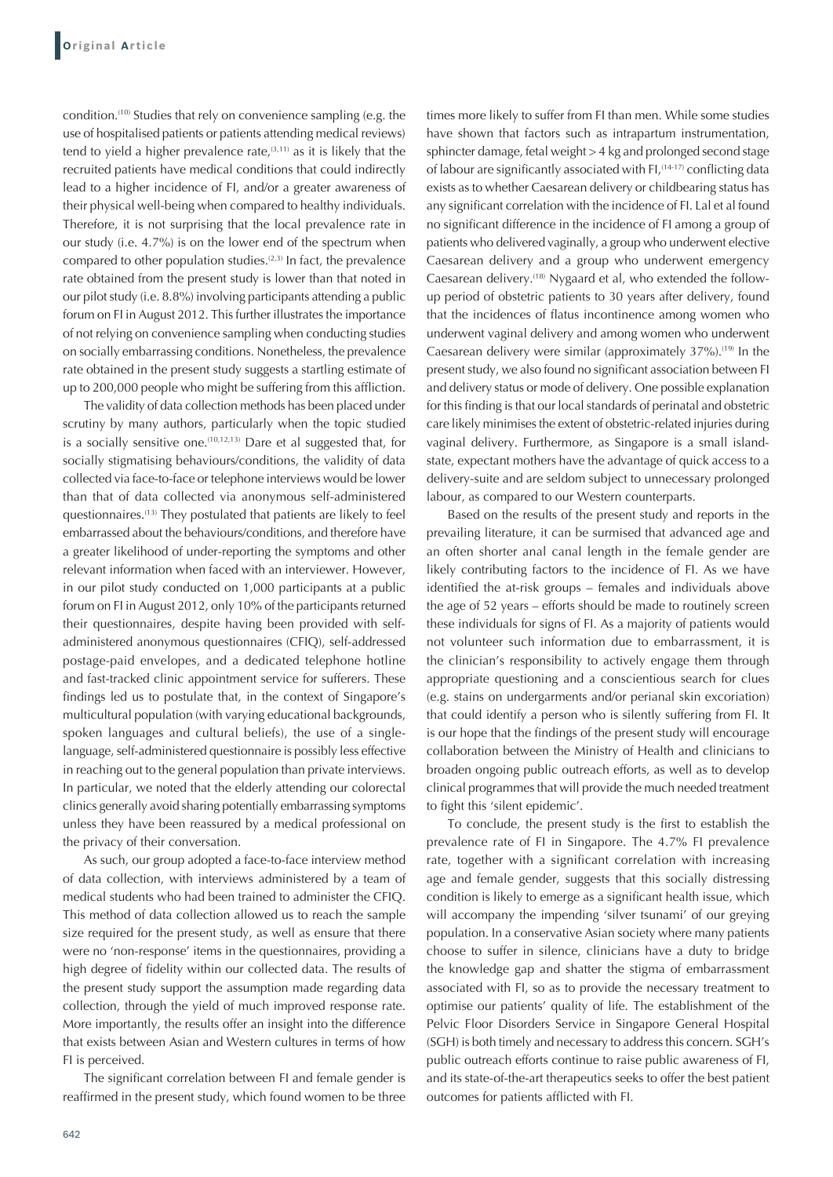condition.(10) Studies that rely on convenience sampling (e.g. the use of hospitalised patients or patients attending medical reviews) tend to yield a higher prevalence rate, $(3,11)$  as it is likely that the recruited patients have medical conditions that could indirectly lead to a higher incidence of FI, and/or a greater awareness of their physical well-being when compared to healthy individuals. Therefore, it is not surprising that the local prevalence rate in our study (i.e. 4.7%) is on the lower end of the spectrum when compared to other population studies.<sup> $(2,3)$ </sup> In fact, the prevalence rate obtained from the present study is lower than that noted in our pilot study (i.e. 8.8%) involving participants attending a public forum on FI in August 2012. This further illustrates the importance of not relying on convenience sampling when conducting studies on socially embarrassing conditions. Nonetheless, the prevalence rate obtained in the present study suggests a startling estimate of up to 200,000 people who might be suffering from this affliction.

The validity of data collection methods has been placed under scrutiny by many authors, particularly when the topic studied is a socially sensitive one.<sup> $(10,12,13)$ </sup> Dare et al suggested that, for socially stigmatising behaviours/conditions, the validity of data collected via face-to-face or telephone interviews would be lower than that of data collected via anonymous self-administered questionnaires.(13) They postulated that patients are likely to feel embarrassed about the behaviours/conditions, and therefore have a greater likelihood of under-reporting the symptoms and other relevant information when faced with an interviewer. However, in our pilot study conducted on 1,000 participants at a public forum on FI in August 2012, only 10% of the participants returned their questionnaires, despite having been provided with selfadministered anonymous questionnaires (CFIQ), self-addressed postage-paid envelopes, and a dedicated telephone hotline and fast-tracked clinic appointment service for sufferers. These findings led us to postulate that, in the context of Singapore's multicultural population (with varying educational backgrounds, spoken languages and cultural beliefs), the use of a singlelanguage, self-administered questionnaire is possibly less effective in reaching out to the general population than private interviews. In particular, we noted that the elderly attending our colorectal clinics generally avoid sharing potentially embarrassing symptoms unless they have been reassured by a medical professional on the privacy of their conversation.

As such, our group adopted a face-to-face interview method of data collection, with interviews administered by a team of medical students who had been trained to administer the CFIQ. This method of data collection allowed us to reach the sample size required for the present study, as well as ensure that there were no 'non-response' items in the questionnaires, providing a high degree of fidelity within our collected data. The results of the present study support the assumption made regarding data collection, through the yield of much improved response rate. More importantly, the results offer an insight into the difference that exists between Asian and Western cultures in terms of how FI is perceived.

The significant correlation between FI and female gender is reaffirmed in the present study, which found women to be three times more likely to suffer from FI than men. While some studies have shown that factors such as intrapartum instrumentation, sphincter damage, fetal weight > 4 kg and prolonged second stage of labour are significantly associated with FI, (14-17) conflicting data exists as to whether Caesarean delivery or childbearing status has any significant correlation with the incidence of FI. Lal et al found no significant difference in the incidence of FI among a group of patients who delivered vaginally, a group who underwent elective Caesarean delivery and a group who underwent emergency Caesarean delivery.<sup>(18)</sup> Nygaard et al, who extended the followup period of obstetric patients to 30 years after delivery, found that the incidences of flatus incontinence among women who underwent vaginal delivery and among women who underwent Caesarean delivery were similar (approximately 37%).<sup>(19)</sup> In the present study, we also found no significant association between FI and delivery status or mode of delivery. One possible explanation for this finding is that our local standards of perinatal and obstetric care likely minimises the extent of obstetric-related injuries during vaginal delivery. Furthermore, as Singapore is a small islandstate, expectant mothers have the advantage of quick access to a delivery-suite and are seldom subject to unnecessary prolonged labour, as compared to our Western counterparts.

Based on the results of the present study and reports in the prevailing literature, it can be surmised that advanced age and an often shorter anal canal length in the female gender are likely contributing factors to the incidence of FI. As we have identified the at-risk groups – females and individuals above the age of 52 years – efforts should be made to routinely screen these individuals for signs of FI. As a majority of patients would not volunteer such information due to embarrassment, it is the clinician's responsibility to actively engage them through appropriate questioning and a conscientious search for clues (e.g. stains on undergarments and/or perianal skin excoriation) that could identify a person who is silently suffering from FI. It is our hope that the findings of the present study will encourage collaboration between the Ministry of Health and clinicians to broaden ongoing public outreach efforts, as well as to develop clinical programmes that will provide the much needed treatment to fight this 'silent epidemic'.

To conclude, the present study is the first to establish the prevalence rate of FI in Singapore. The 4.7% FI prevalence rate, together with a significant correlation with increasing age and female gender, suggests that this socially distressing condition is likely to emerge as a significant health issue, which will accompany the impending 'silver tsunami' of our greying population. In a conservative Asian society where many patients choose to suffer in silence, clinicians have a duty to bridge the knowledge gap and shatter the stigma of embarrassment associated with FI, so as to provide the necessary treatment to optimise our patients' quality of life. The establishment of the Pelvic Floor Disorders Service in Singapore General Hospital (SGH) is both timely and necessary to address this concern. SGH's public outreach efforts continue to raise public awareness of FI, and its state-of-the-art therapeutics seeks to offer the best patient outcomes for patients afflicted with FI.